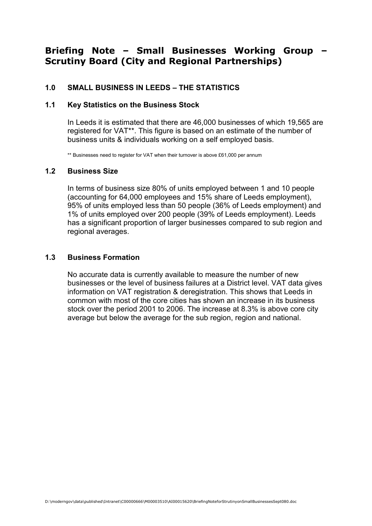# Briefing Note – Small Businesses Working Group – Scrutiny Board (City and Regional Partnerships)

# 1.0 SMALL BUSINESS IN LEEDS – THE STATISTICS

#### 1.1 Key Statistics on the Business Stock

In Leeds it is estimated that there are 46,000 businesses of which 19,565 are registered for VAT\*\*. This figure is based on an estimate of the number of business units & individuals working on a self employed basis.

\*\* Businesses need to register for VAT when their turnover is above £61,000 per annum

#### 1.2 Business Size

In terms of business size 80% of units employed between 1 and 10 people (accounting for 64,000 employees and 15% share of Leeds employment), 95% of units employed less than 50 people (36% of Leeds employment) and 1% of units employed over 200 people (39% of Leeds employment). Leeds has a significant proportion of larger businesses compared to sub region and regional averages.

## 1.3 Business Formation

No accurate data is currently available to measure the number of new businesses or the level of business failures at a District level. VAT data gives information on VAT registration & deregistration. This shows that Leeds in common with most of the core cities has shown an increase in its business stock over the period 2001 to 2006. The increase at 8.3% is above core city average but below the average for the sub region, region and national.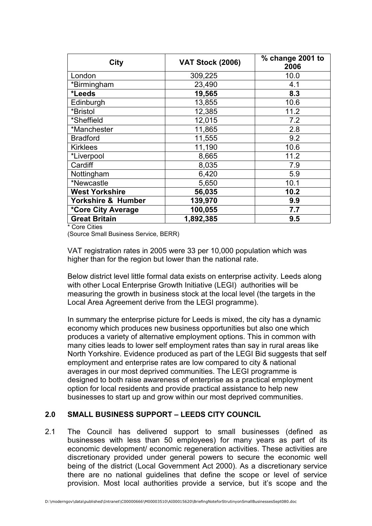| City                  | <b>VAT Stock (2006)</b> | % change 2001 to<br>2006 |
|-----------------------|-------------------------|--------------------------|
| London                | 309,225                 | 10.0                     |
| *Birmingham           | 23,490                  | 4.1                      |
| *Leeds                | 19,565                  | 8.3                      |
| Edinburgh             | 13,855                  | 10.6                     |
| *Bristol              | 12,385                  | 11.2                     |
| *Sheffield            | 12,015                  | 7.2                      |
| *Manchester           | 11,865                  | 2.8                      |
| <b>Bradford</b>       | 11,555                  | 9.2                      |
| <b>Kirklees</b>       | 11,190                  | 10.6                     |
| *Liverpool            | 8,665                   | 11.2                     |
| Cardiff               | 8,035                   | 7.9                      |
| Nottingham            | 6,420                   | 5.9                      |
| *Newcastle            | 5,650                   | 10.1                     |
| <b>West Yorkshire</b> | 56,035                  | 10.2                     |
| Yorkshire & Humber    | 139,970                 | 9.9                      |
| *Core City Average    | 100,055                 | 7.7                      |
| <b>Great Britain</b>  | 1,892,385               | 9.5                      |

\* Core Cities

(Source Small Business Service, BERR)

VAT registration rates in 2005 were 33 per 10,000 population which was higher than for the region but lower than the national rate.

Below district level little formal data exists on enterprise activity. Leeds along with other Local Enterprise Growth Initiative (LEGI) authorities will be measuring the growth in business stock at the local level (the targets in the Local Area Agreement derive from the LEGI programme).

In summary the enterprise picture for Leeds is mixed, the city has a dynamic economy which produces new business opportunities but also one which produces a variety of alternative employment options. This in common with many cities leads to lower self employment rates than say in rural areas like North Yorkshire. Evidence produced as part of the LEGI Bid suggests that self employment and enterprise rates are low compared to city & national averages in our most deprived communities. The LEGI programme is designed to both raise awareness of enterprise as a practical employment option for local residents and provide practical assistance to help new businesses to start up and grow within our most deprived communities.

# 2.0 SMALL BUSINESS SUPPORT – LEEDS CITY COUNCIL

2.1 The Council has delivered support to small businesses (defined as businesses with less than 50 employees) for many years as part of its economic development/ economic regeneration activities. These activities are discretionary provided under general powers to secure the economic well being of the district (Local Government Act 2000). As a discretionary service there are no national guidelines that define the scope or level of service provision. Most local authorities provide a service, but it's scope and the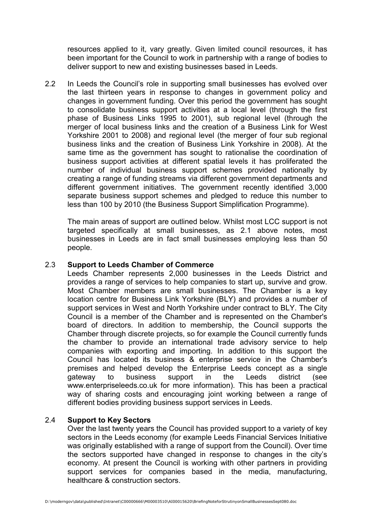resources applied to it, vary greatly. Given limited council resources, it has been important for the Council to work in partnership with a range of bodies to deliver support to new and existing businesses based in Leeds.

2.2 In Leeds the Council's role in supporting small businesses has evolved over the last thirteen years in response to changes in government policy and changes in government funding. Over this period the government has sought to consolidate business support activities at a local level (through the first phase of Business Links 1995 to 2001), sub regional level (through the merger of local business links and the creation of a Business Link for West Yorkshire 2001 to 2008) and regional level (the merger of four sub regional business links and the creation of Business Link Yorkshire in 2008). At the same time as the government has sought to rationalise the coordination of business support activities at different spatial levels it has proliferated the number of individual business support schemes provided nationally by creating a range of funding streams via different government departments and different government initiatives. The government recently identified 3,000 separate business support schemes and pledged to reduce this number to less than 100 by 2010 (the Business Support Simplification Programme).

 The main areas of support are outlined below. Whilst most LCC support is not targeted specifically at small businesses, as 2.1 above notes, most businesses in Leeds are in fact small businesses employing less than 50 people.

## 2.3 Support to Leeds Chamber of Commerce

Leeds Chamber represents 2,000 businesses in the Leeds District and provides a range of services to help companies to start up, survive and grow. Most Chamber members are small businesses. The Chamber is a key location centre for Business Link Yorkshire (BLY) and provides a number of support services in West and North Yorkshire under contract to BLY. The City Council is a member of the Chamber and is represented on the Chamber's board of directors. In addition to membership, the Council supports the Chamber through discrete projects, so for example the Council currently funds the chamber to provide an international trade advisory service to help companies with exporting and importing. In addition to this support the Council has located its business & enterprise service in the Chamber's premises and helped develop the Enterprise Leeds concept as a single gateway to business support in the Leeds district (see www.enterpriseleeds.co.uk for more information). This has been a practical way of sharing costs and encouraging joint working between a range of different bodies providing business support services in Leeds.

# 2.4 Support to Key Sectors

Over the last twenty years the Council has provided support to a variety of key sectors in the Leeds economy (for example Leeds Financial Services Initiative was originally established with a range of support from the Council). Over time the sectors supported have changed in response to changes in the city's economy. At present the Council is working with other partners in providing support services for companies based in the media, manufacturing, healthcare & construction sectors.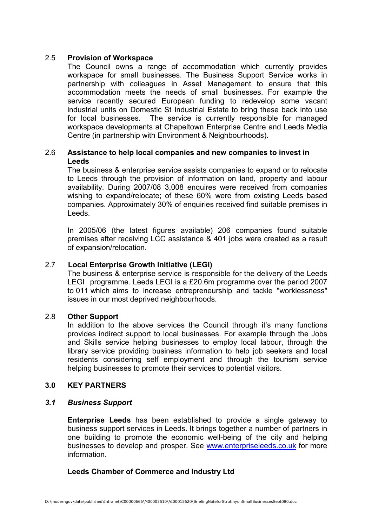# 2.5 Provision of Workspace

The Council owns a range of accommodation which currently provides workspace for small businesses. The Business Support Service works in partnership with colleagues in Asset Management to ensure that this accommodation meets the needs of small businesses. For example the service recently secured European funding to redevelop some vacant industrial units on Domestic St Industrial Estate to bring these back into use for local businesses. The service is currently responsible for managed workspace developments at Chapeltown Enterprise Centre and Leeds Media Centre (in partnership with Environment & Neighbourhoods).

# 2.6 Assistance to help local companies and new companies to invest in Leeds

The business & enterprise service assists companies to expand or to relocate to Leeds through the provision of information on land, property and labour availability. During 2007/08 3,008 enquires were received from companies wishing to expand/relocate; of these 60% were from existing Leeds based companies. Approximately 30% of enquiries received find suitable premises in Leeds.

In 2005/06 (the latest figures available) 206 companies found suitable premises after receiving LCC assistance & 401 jobs were created as a result of expansion/relocation.

#### 2.7 Local Enterprise Growth Initiative (LEGI)

 The business & enterprise service is responsible for the delivery of the Leeds LEGI programme. Leeds LEGI is a £20.6m programme over the period 2007 to 011 which aims to increase entrepreneurship and tackle "worklessness" issues in our most deprived neighbourhoods.

# 2.8 Other Support

In addition to the above services the Council through it's many functions provides indirect support to local businesses. For example through the Jobs and Skills service helping businesses to employ local labour, through the library service providing business information to help job seekers and local residents considering self employment and through the tourism service helping businesses to promote their services to potential visitors.

#### 3.0 KEY PARTNERS

#### 3.1 Business Support

Enterprise Leeds has been established to provide a single gateway to business support services in Leeds. It brings together a number of partners in one building to promote the economic well-being of the city and helping businesses to develop and prosper. See www.enterpriseleeds.co.uk for more information.

#### Leeds Chamber of Commerce and Industry Ltd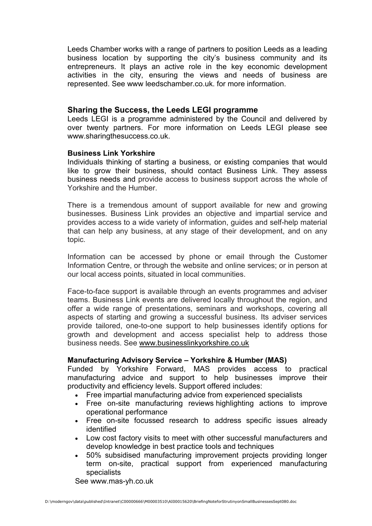Leeds Chamber works with a range of partners to position Leeds as a leading business location by supporting the city's business community and its entrepreneurs. It plays an active role in the key economic development activities in the city, ensuring the views and needs of business are represented. See www leedschamber.co.uk. for more information.

# Sharing the Success, the Leeds LEGI programme

Leeds LEGI is a programme administered by the Council and delivered by over twenty partners. For more information on Leeds LEGI please see www.sharingthesuccess.co.uk.

#### Business Link Yorkshire

Individuals thinking of starting a business, or existing companies that would like to grow their business, should contact Business Link. They assess business needs and provide access to business support across the whole of Yorkshire and the Humber.

There is a tremendous amount of support available for new and growing businesses. Business Link provides an objective and impartial service and provides access to a wide variety of information, guides and self-help material that can help any business, at any stage of their development, and on any topic.

Information can be accessed by phone or email through the Customer Information Centre, or through the website and online services; or in person at our local access points, situated in local communities.

Face-to-face support is available through an events programmes and adviser teams. Business Link events are delivered locally throughout the region, and offer a wide range of presentations, seminars and workshops, covering all aspects of starting and growing a successful business. Its adviser services provide tailored, one-to-one support to help businesses identify options for growth and development and access specialist help to address those business needs. See www.businesslinkyorkshire.co.uk

# Manufacturing Advisory Service – Yorkshire & Humber (MAS)

Funded by Yorkshire Forward, MAS provides access to practical manufacturing advice and support to help businesses improve their productivity and efficiency levels. Support offered includes:

- Free impartial manufacturing advice from experienced specialists
- Free on-site manufacturing reviews highlighting actions to improve operational performance
- Free on-site focussed research to address specific issues already identified
- Low cost factory visits to meet with other successful manufacturers and develop knowledge in best practice tools and techniques
- 50% subsidised manufacturing improvement projects providing longer term on-site, practical support from experienced manufacturing specialists

See www.mas-yh.co.uk